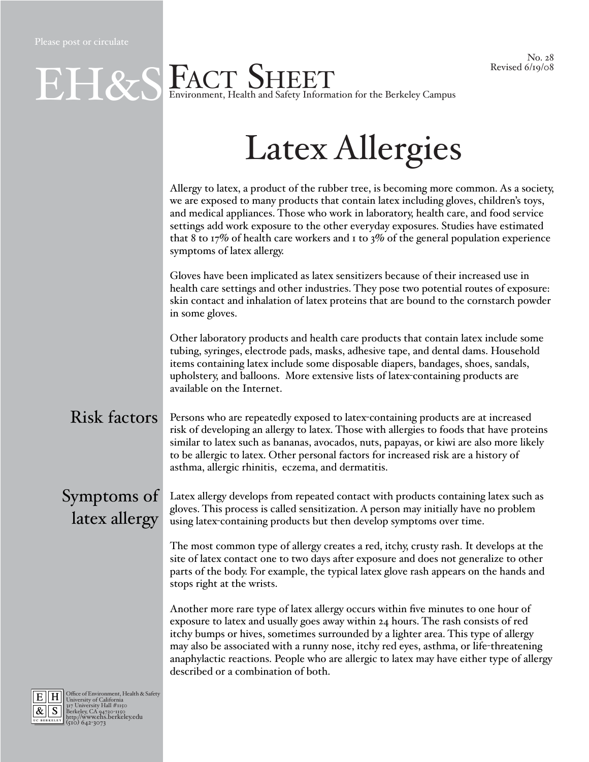## No. 28 Revised 6/19/08

|                                                                               | <b>EXS FACT SHEET</b><br>Environment, Health and Safety Information for the Berkeley Campus<br>Revised 6/19/08                                                                                                                                                                                                                                                                                                                                                                           |
|-------------------------------------------------------------------------------|------------------------------------------------------------------------------------------------------------------------------------------------------------------------------------------------------------------------------------------------------------------------------------------------------------------------------------------------------------------------------------------------------------------------------------------------------------------------------------------|
|                                                                               |                                                                                                                                                                                                                                                                                                                                                                                                                                                                                          |
|                                                                               | <b>Latex Allergies</b>                                                                                                                                                                                                                                                                                                                                                                                                                                                                   |
|                                                                               | Allergy to latex, a product of the rubber tree, is becoming more common. As a society,<br>we are exposed to many products that contain latex including gloves, children's toys,<br>and medical appliances. Those who work in laboratory, health care, and food service<br>settings add work exposure to the other everyday exposures. Studies have estimated<br>that 8 to 17% of health care workers and 1 to 3% of the general population experience<br>symptoms of latex allergy.      |
|                                                                               | Gloves have been implicated as latex sensitizers because of their increased use in<br>health care settings and other industries. They pose two potential routes of exposure:<br>skin contact and inhalation of latex proteins that are bound to the cornstarch powder<br>in some gloves.                                                                                                                                                                                                 |
|                                                                               | Other laboratory products and health care products that contain latex include some<br>tubing, syringes, electrode pads, masks, adhesive tape, and dental dams. Household<br>items containing latex include some disposable diapers, bandages, shoes, sandals,<br>upholstery, and balloons. More extensive lists of latex-containing products are<br>available on the Internet.                                                                                                           |
| <b>Risk factors</b>                                                           | Persons who are repeatedly exposed to latex-containing products are at increased<br>risk of developing an allergy to latex. Those with allergies to foods that have proteins<br>similar to latex such as bananas, avocados, nuts, papayas, or kiwi are also more likely<br>to be allergic to latex. Other personal factors for increased risk are a history of<br>asthma, allergic rhinitis, eczema, and dermatitis.                                                                     |
| latex allergy                                                                 | $Symptoms of$ Latex allergy develops from repeated contact with products containing latex such as<br>gloves. This process is called sensitization. A person may initially have no problem<br>using latex-containing products but then develop symptoms over time.                                                                                                                                                                                                                        |
|                                                                               | The most common type of allergy creates a red, itchy, crusty rash. It develops at the<br>site of latex contact one to two days after exposure and does not generalize to other<br>parts of the body. For example, the typical latex glove rash appears on the hands and<br>stops right at the wrists.                                                                                                                                                                                    |
|                                                                               | Another more rare type of latex allergy occurs within five minutes to one hour of<br>exposure to latex and usually goes away within 24 hours. The rash consists of red<br>itchy bumps or hives, sometimes surrounded by a lighter area. This type of allergy<br>may also be associated with a runny nose, itchy red eyes, asthma, or life-threatening<br>anaphylactic reactions. People who are allergic to latex may have either type of allergy<br>described or a combination of both. |
| Office of Environment, Health & Safety<br>University of California<br>$\ H\ $ |                                                                                                                                                                                                                                                                                                                                                                                                                                                                                          |

E H Office of Environment, Health & Safety<br>  $\frac{R}{\sqrt{\text{S}}}$  S Diversity Nall #1150<br>
Berkeley, CA 94720-1150<br> **BERKELEY** http://www.ehs.berkeley.edu<br>
(510) 642-3073

UC BERKELEY

&  $\|$  S